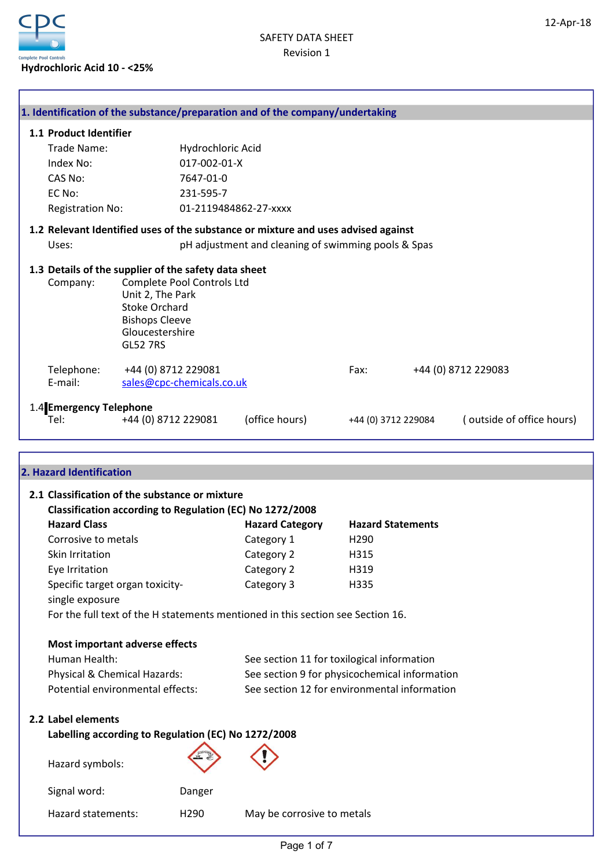

|                                                                  |                                                                                                         |                            | 1. Identification of the substance/preparation and of the company/undertaking     |                          |                           |
|------------------------------------------------------------------|---------------------------------------------------------------------------------------------------------|----------------------------|-----------------------------------------------------------------------------------|--------------------------|---------------------------|
| 1.1 Product Identifier                                           |                                                                                                         |                            |                                                                                   |                          |                           |
| Trade Name:                                                      |                                                                                                         | Hydrochloric Acid          |                                                                                   |                          |                           |
| Index No:                                                        |                                                                                                         | 017-002-01-X               |                                                                                   |                          |                           |
| CAS No:                                                          |                                                                                                         | 7647-01-0                  |                                                                                   |                          |                           |
| EC No:                                                           |                                                                                                         | 231-595-7                  |                                                                                   |                          |                           |
| <b>Registration No:</b>                                          |                                                                                                         |                            | 01-2119484862-27-xxxx                                                             |                          |                           |
|                                                                  |                                                                                                         |                            | 1.2 Relevant Identified uses of the substance or mixture and uses advised against |                          |                           |
| Uses:                                                            |                                                                                                         |                            | pH adjustment and cleaning of swimming pools & Spas                               |                          |                           |
|                                                                  |                                                                                                         |                            |                                                                                   |                          |                           |
| 1.3 Details of the supplier of the safety data sheet<br>Company: | Unit 2, The Park<br><b>Stoke Orchard</b><br><b>Bishops Cleeve</b><br>Gloucestershire<br><b>GL52 7RS</b> | Complete Pool Controls Ltd |                                                                                   |                          |                           |
| Telephone:                                                       | +44 (0) 8712 229081                                                                                     |                            |                                                                                   | Fax:                     | +44 (0) 8712 229083       |
| E-mail:                                                          |                                                                                                         | sales@cpc-chemicals.co.uk  |                                                                                   |                          |                           |
|                                                                  |                                                                                                         |                            |                                                                                   |                          |                           |
| 1.4 Emergency Telephone<br>Tel:                                  | +44 (0) 8712 229081                                                                                     |                            | (office hours)                                                                    | +44 (0) 3712 229084      | (outside of office hours) |
|                                                                  |                                                                                                         |                            |                                                                                   |                          |                           |
|                                                                  |                                                                                                         |                            |                                                                                   |                          |                           |
| 2. Hazard Identification                                         |                                                                                                         |                            |                                                                                   |                          |                           |
|                                                                  |                                                                                                         |                            |                                                                                   |                          |                           |
| 2.1 Classification of the substance or mixture                   |                                                                                                         |                            |                                                                                   |                          |                           |
|                                                                  |                                                                                                         |                            |                                                                                   |                          |                           |
|                                                                  |                                                                                                         |                            | Classification according to Regulation (EC) No 1272/2008                          |                          |                           |
| <b>Hazard Class</b>                                              |                                                                                                         |                            | <b>Hazard Category</b>                                                            | <b>Hazard Statements</b> |                           |
| Corrosive to metals                                              |                                                                                                         |                            | Category 1                                                                        | H290                     |                           |
| Skin Irritation                                                  |                                                                                                         |                            | Category 2                                                                        | H315                     |                           |
| Eye Irritation                                                   |                                                                                                         |                            | Category 2                                                                        | H319                     |                           |
| Specific target organ toxicity-                                  |                                                                                                         |                            | Category 3                                                                        | H335                     |                           |
| single exposure                                                  |                                                                                                         |                            |                                                                                   |                          |                           |
|                                                                  |                                                                                                         |                            | For the full text of the H statements mentioned in this section see Section 16.   |                          |                           |
|                                                                  |                                                                                                         |                            |                                                                                   |                          |                           |
| Most important adverse effects                                   |                                                                                                         |                            |                                                                                   |                          |                           |
| Human Health:                                                    |                                                                                                         |                            | See section 11 for toxilogical information                                        |                          |                           |
| Physical & Chemical Hazards:                                     |                                                                                                         |                            | See section 9 for physicochemical information                                     |                          |                           |
| Potential environmental effects:                                 |                                                                                                         |                            | See section 12 for environmental information                                      |                          |                           |
| 2.2 Label elements                                               |                                                                                                         |                            |                                                                                   |                          |                           |
| Labelling according to Regulation (EC) No 1272/2008              |                                                                                                         |                            |                                                                                   |                          |                           |
|                                                                  |                                                                                                         |                            |                                                                                   |                          |                           |
| Hazard symbols:                                                  |                                                                                                         |                            |                                                                                   |                          |                           |
| Signal word:                                                     |                                                                                                         | Danger                     |                                                                                   |                          |                           |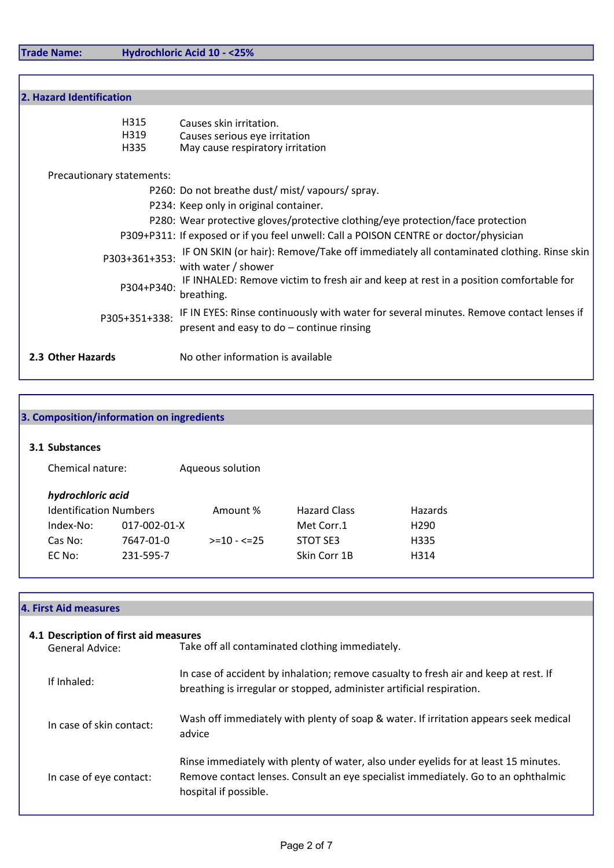Trade Name: Hydrochloric Acid 10 - <25%

| 2. Hazard Identification  |                                                                                                                                      |
|---------------------------|--------------------------------------------------------------------------------------------------------------------------------------|
| H315<br>H319<br>H335      | Causes skin irritation.<br>Causes serious eye irritation<br>May cause respiratory irritation                                         |
| Precautionary statements: |                                                                                                                                      |
|                           | P260: Do not breathe dust/mist/vapours/spray.                                                                                        |
|                           | P234: Keep only in original container.                                                                                               |
|                           | P280: Wear protective gloves/protective clothing/eye protection/face protection                                                      |
|                           | P309+P311: If exposed or if you feel unwell: Call a POISON CENTRE or doctor/physician                                                |
| P303+361+353:             | IF ON SKIN (or hair): Remove/Take off immediately all contaminated clothing. Rinse skin<br>with water / shower                       |
| P304+P340:                | IF INHALED: Remove victim to fresh air and keep at rest in a position comfortable for<br>breathing.                                  |
| P305+351+338:             | IF IN EYES: Rinse continuously with water for several minutes. Remove contact lenses if<br>present and easy to do - continue rinsing |
| 2.3 Other Hazards         | No other information is available                                                                                                    |

|                               | 3. Composition/information on ingredients |                  |                     |                  |  |
|-------------------------------|-------------------------------------------|------------------|---------------------|------------------|--|
|                               |                                           |                  |                     |                  |  |
| 3.1 Substances                |                                           |                  |                     |                  |  |
| Chemical nature:              |                                           | Aqueous solution |                     |                  |  |
| hydrochloric acid             |                                           |                  |                     |                  |  |
| <b>Identification Numbers</b> |                                           | Amount %         | <b>Hazard Class</b> | Hazards          |  |
| Index-No:                     | 017-002-01-X                              |                  | Met Corr.1          | H <sub>290</sub> |  |
| Cas No:                       | 7647-01-0                                 | $>=10 - 5 = 25$  | STOT SE3            | H335             |  |
| EC No:                        | 231-595-7                                 |                  | Skin Corr 1B        | H314             |  |

|  |  |  | <b>4. First Aid measures</b> |
|--|--|--|------------------------------|
|--|--|--|------------------------------|

| 4.1 Description of first aid measures<br><b>General Advice:</b> | Take off all contaminated clothing immediately.                                                                                                                                                   |
|-----------------------------------------------------------------|---------------------------------------------------------------------------------------------------------------------------------------------------------------------------------------------------|
| If Inhaled:                                                     | In case of accident by inhalation; remove casualty to fresh air and keep at rest. If<br>breathing is irregular or stopped, administer artificial respiration.                                     |
| In case of skin contact:                                        | Wash off immediately with plenty of soap & water. If irritation appears seek medical<br>advice                                                                                                    |
| In case of eye contact:                                         | Rinse immediately with plenty of water, also under eyelids for at least 15 minutes.<br>Remove contact lenses. Consult an eye specialist immediately. Go to an ophthalmic<br>hospital if possible. |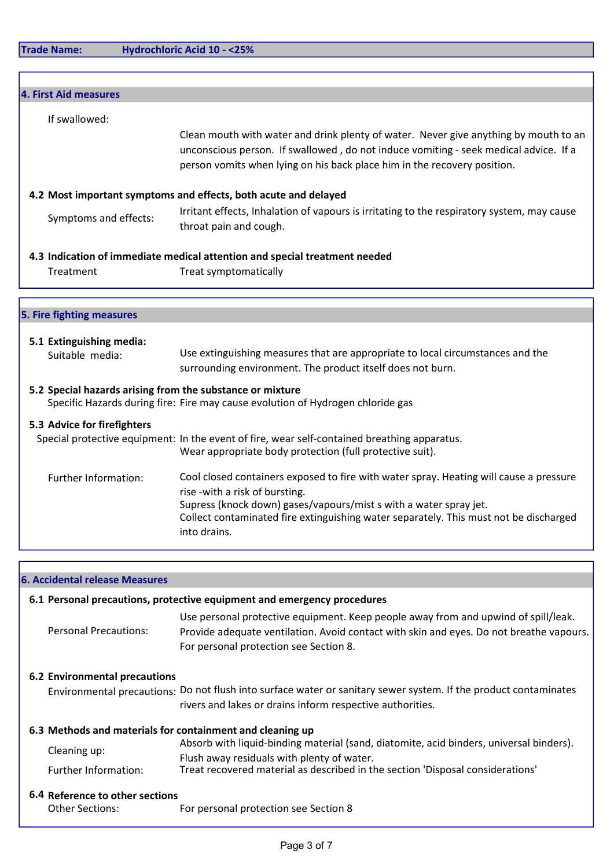Trade Name: Hydrochloric Acid 10 - <25%

| 4. First Aid measures          |                                                                                                                                                                                                                                                                                                         |
|--------------------------------|---------------------------------------------------------------------------------------------------------------------------------------------------------------------------------------------------------------------------------------------------------------------------------------------------------|
| If swallowed:                  |                                                                                                                                                                                                                                                                                                         |
|                                | Clean mouth with water and drink plenty of water. Never give anything by mouth to an<br>unconscious person. If swallowed, do not induce vomiting - seek medical advice. If a<br>person vomits when lying on his back place him in the recovery position.                                                |
|                                | 4.2 Most important symptoms and effects, both acute and delayed                                                                                                                                                                                                                                         |
| Symptoms and effects:          | Irritant effects, Inhalation of vapours is irritating to the respiratory system, may cause<br>throat pain and cough.                                                                                                                                                                                    |
|                                | 4.3 Indication of immediate medical attention and special treatment needed                                                                                                                                                                                                                              |
| Treatment                      | Treat symptomatically                                                                                                                                                                                                                                                                                   |
|                                |                                                                                                                                                                                                                                                                                                         |
| 5. Fire fighting measures      |                                                                                                                                                                                                                                                                                                         |
| 5.1 Extinguishing media:       |                                                                                                                                                                                                                                                                                                         |
| Suitable media:                | Use extinguishing measures that are appropriate to local circumstances and the<br>surrounding environment. The product itself does not burn.                                                                                                                                                            |
|                                | 5.2 Special hazards arising from the substance or mixture<br>Specific Hazards during fire: Fire may cause evolution of Hydrogen chloride gas                                                                                                                                                            |
| 5.3 Advice for firefighters    |                                                                                                                                                                                                                                                                                                         |
|                                | Special protective equipment: In the event of fire, wear self-contained breathing apparatus.<br>Wear appropriate body protection (full protective suit).                                                                                                                                                |
| Further Information:           | Cool closed containers exposed to fire with water spray. Heating will cause a pressure<br>rise - with a risk of bursting.<br>Supress (knock down) gases/vapours/mist s with a water spray jet.<br>Collect contaminated fire extinguishing water separately. This must not be discharged<br>into drains. |
| 6. Accidental release Measures |                                                                                                                                                                                                                                                                                                         |
|                                | 6.1 Personal precautions, protective equipment and emergency procedures                                                                                                                                                                                                                                 |
|                                | Use personal protective equipment. Keep people away from and upwind of spill/leak.                                                                                                                                                                                                                      |

Personal Precautions: Provide adequate ventilation. Avoid contact with skin and eyes. Do not breathe vapours. For personal protection see Section 8.

# 6.2 Environmental precautions

Environmental precautions: Do not flush into surface water or sanitary sewer system. If the product contaminates rivers and lakes or drains inform respective authorities.

#### 6.3 Methods and materials for containment and cleaning up

|                      | Absorb with liquid-binding material (sand, diatomite, acid binders, universal binders). |
|----------------------|-----------------------------------------------------------------------------------------|
| Cleaning up:         | Flush away residuals with plenty of water.                                              |
| Further Information: | Treat recovered material as described in the section 'Disposal considerations'          |

#### 6.4 Reference to other sections

Other Sections: For personal protection see Section 8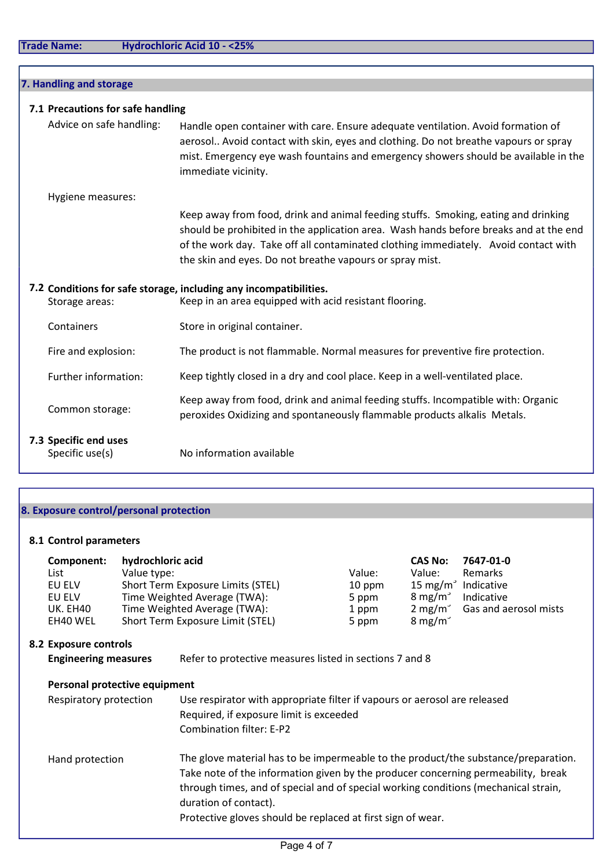| 7. Handling and storage                  |                                                                                                                                                                                                                                                                                                                                |  |  |  |  |  |  |
|------------------------------------------|--------------------------------------------------------------------------------------------------------------------------------------------------------------------------------------------------------------------------------------------------------------------------------------------------------------------------------|--|--|--|--|--|--|
|                                          | 7.1 Precautions for safe handling                                                                                                                                                                                                                                                                                              |  |  |  |  |  |  |
| Advice on safe handling:                 | Handle open container with care. Ensure adequate ventilation. Avoid formation of<br>aerosol Avoid contact with skin, eyes and clothing. Do not breathe vapours or spray<br>mist. Emergency eye wash fountains and emergency showers should be available in the<br>immediate vicinity.                                          |  |  |  |  |  |  |
| Hygiene measures:                        |                                                                                                                                                                                                                                                                                                                                |  |  |  |  |  |  |
|                                          | Keep away from food, drink and animal feeding stuffs. Smoking, eating and drinking<br>should be prohibited in the application area. Wash hands before breaks and at the end<br>of the work day. Take off all contaminated clothing immediately. Avoid contact with<br>the skin and eyes. Do not breathe vapours or spray mist. |  |  |  |  |  |  |
|                                          | 7.2 Conditions for safe storage, including any incompatibilities.                                                                                                                                                                                                                                                              |  |  |  |  |  |  |
| Storage areas:                           | Keep in an area equipped with acid resistant flooring.                                                                                                                                                                                                                                                                         |  |  |  |  |  |  |
| Containers                               | Store in original container.                                                                                                                                                                                                                                                                                                   |  |  |  |  |  |  |
| Fire and explosion:                      | The product is not flammable. Normal measures for preventive fire protection.                                                                                                                                                                                                                                                  |  |  |  |  |  |  |
| Further information:                     | Keep tightly closed in a dry and cool place. Keep in a well-ventilated place.                                                                                                                                                                                                                                                  |  |  |  |  |  |  |
| Common storage:                          | Keep away from food, drink and animal feeding stuffs. Incompatible with: Organic<br>peroxides Oxidizing and spontaneously flammable products alkalis Metals.                                                                                                                                                                   |  |  |  |  |  |  |
| 7.3 Specific end uses<br>Specific use(s) | No information available                                                                                                                                                                                                                                                                                                       |  |  |  |  |  |  |

# 8. Exposure control/personal protection

# 8.1 Control parameters

| List<br>EU ELV<br>EU ELV | Component:<br><b>UK. EH40</b><br>EH40 WEL | hydrochloric acid<br>Value type:<br>Short Term Exposure Limits (STEL)<br>Time Weighted Average (TWA):<br>Time Weighted Average (TWA):<br>Short Term Exposure Limit (STEL) | Value:<br>$10$ ppm<br>5 ppm<br>1 ppm<br>5 ppm | <b>CAS No:</b><br>Value:<br>15 mg/m <sup>3</sup> Indicative<br>$8 \text{ mg/m}^3$<br>$8 \text{ mg/m}^3$ | 7647-01-0<br>Remarks<br>Indicative<br>2 mg/m <sup>3</sup> Gas and aerosol mists |
|--------------------------|-------------------------------------------|---------------------------------------------------------------------------------------------------------------------------------------------------------------------------|-----------------------------------------------|---------------------------------------------------------------------------------------------------------|---------------------------------------------------------------------------------|
|                          |                                           |                                                                                                                                                                           |                                               |                                                                                                         |                                                                                 |

# 8.2 Exposure controls

| <b>Engineering measures</b> | Refer to protective measures listed in sections 7 and 8 |
|-----------------------------|---------------------------------------------------------|
|-----------------------------|---------------------------------------------------------|

# Personal protective equipment

| Respiratory protection | Use respirator with appropriate filter if vapours or aerosol are released<br>Required, if exposure limit is exceeded<br>Combination filter: E-P2                                                                                                                                                                                                       |
|------------------------|--------------------------------------------------------------------------------------------------------------------------------------------------------------------------------------------------------------------------------------------------------------------------------------------------------------------------------------------------------|
| Hand protection        | The glove material has to be impermeable to the product/the substance/preparation.<br>Take note of the information given by the producer concerning permeability, break<br>through times, and of special and of special working conditions (mechanical strain,<br>duration of contact).<br>Protective gloves should be replaced at first sign of wear. |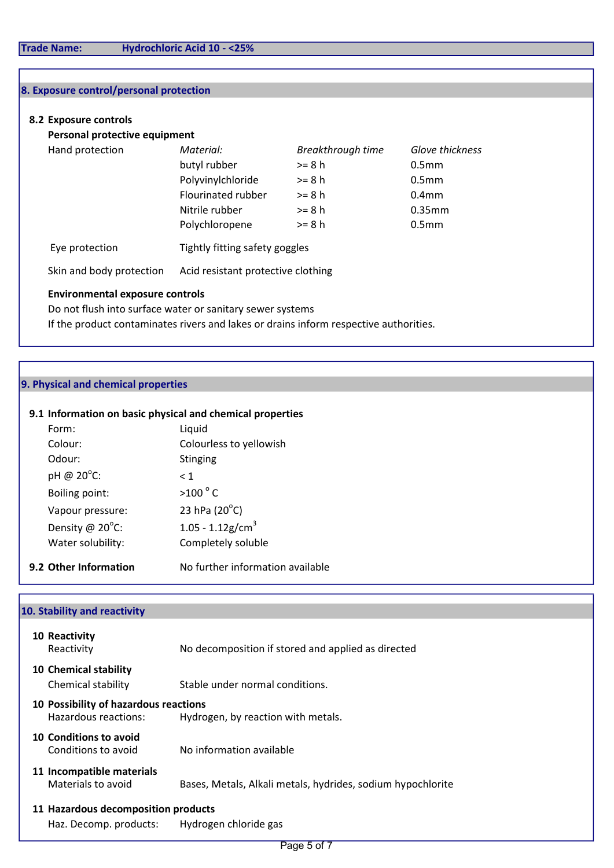# 8. Exposure control/personal protection

### 8.2 Exposure controls

Personal protective equipment

| Hand protection | Material:          | Breakthrough time | Glove thickness   |
|-----------------|--------------------|-------------------|-------------------|
|                 | butyl rubber       | $>= 8 h$          | 0.5 <sub>mm</sub> |
|                 | Polyvinylchloride  | $>= 8 h$          | 0.5 <sub>mm</sub> |
|                 | Flourinated rubber | $>= 8 h$          | 0.4 <sub>mm</sub> |
|                 | Nitrile rubber     | $>= 8 h$          | 0.35mm            |
|                 | Polychloropene     | $>= 8 h$          | 0.5 <sub>mm</sub> |
|                 |                    |                   |                   |

Eye protection Tightly fitting safety goggles

Skin and body protection Acid resistant protective clothing

#### Environmental exposure controls

Do not flush into surface water or sanitary sewer systems If the product contaminates rivers and lakes or drains inform respective authorities.

## 9. Physical and chemical properties

#### 9.1 Information on basic physical and chemical properties

| Form:                 | Liquid                           |
|-----------------------|----------------------------------|
| Colour:               | Colourless to yellowish          |
| Odour:                | <b>Stinging</b>                  |
| pH @ 20°C:            | $\leq 1$                         |
| Boiling point:        | $>100^{\circ}$ C                 |
| Vapour pressure:      | 23 hPa $(20^{\circ}C)$           |
| Density @ 20°C:       | $1.05 - 1.12$ g/cm <sup>3</sup>  |
| Water solubility:     | Completely soluble               |
| 9.2 Other Information | No further information available |

## 10. Stability and reactivity

| 10 Reactivity<br>Reactivity                                   | No decomposition if stored and applied as directed          |  |  |  |  |  |
|---------------------------------------------------------------|-------------------------------------------------------------|--|--|--|--|--|
| <b>10 Chemical stability</b><br>Chemical stability            | Stable under normal conditions.                             |  |  |  |  |  |
| 10 Possibility of hazardous reactions<br>Hazardous reactions: | Hydrogen, by reaction with metals.                          |  |  |  |  |  |
| 10 Conditions to avoid<br>Conditions to avoid                 | No information available                                    |  |  |  |  |  |
| 11 Incompatible materials<br>Materials to avoid               | Bases, Metals, Alkali metals, hydrides, sodium hypochlorite |  |  |  |  |  |
| 11 Hazardous decomposition products                           |                                                             |  |  |  |  |  |
| Haz. Decomp. products:                                        | Hydrogen chloride gas                                       |  |  |  |  |  |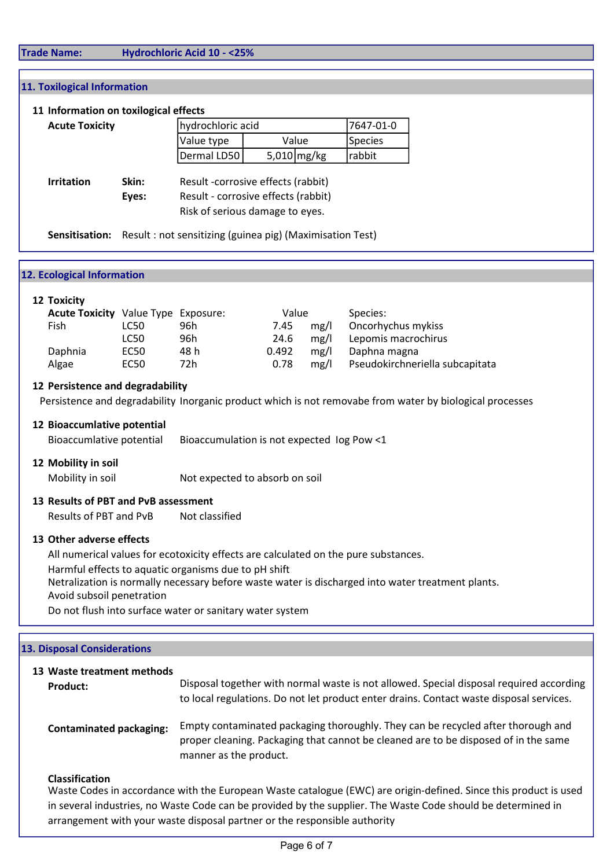# Trade Name: Hydrochloric Acid 10 - <25%

## 11. Toxilogical Information

#### 11 Information on toxilogical effects

| <b>Acute Toxicity</b>               |                                                          | hydrochloric acid                                                                                            |       |               | 7647-01-0      |  |
|-------------------------------------|----------------------------------------------------------|--------------------------------------------------------------------------------------------------------------|-------|---------------|----------------|--|
|                                     |                                                          |                                                                                                              | Value |               | <b>Species</b> |  |
|                                     |                                                          | Dermal LD50                                                                                                  |       | 5,010 $mg/kg$ | rabbit         |  |
| Skin:<br><b>Irritation</b><br>Eyes: |                                                          | Result -corrosive effects (rabbit)<br>Result - corrosive effects (rabbit)<br>Risk of serious damage to eyes. |       |               |                |  |
| Sensitisation:                      | Result: not sensitizing (guinea pig) (Maximisation Test) |                                                                                                              |       |               |                |  |

| <b>12. Ecological Information</b>                                                                                                                                                                                                                     |                                          |                                |       |      |                                 |  |
|-------------------------------------------------------------------------------------------------------------------------------------------------------------------------------------------------------------------------------------------------------|------------------------------------------|--------------------------------|-------|------|---------------------------------|--|
|                                                                                                                                                                                                                                                       |                                          |                                |       |      |                                 |  |
| 12 Toxicity                                                                                                                                                                                                                                           |                                          |                                |       |      |                                 |  |
| <b>Acute Toxicity</b> Value Type Exposure:                                                                                                                                                                                                            |                                          |                                | Value |      | Species:                        |  |
| Fish                                                                                                                                                                                                                                                  | LC50                                     | 96h                            | 7.45  | mg/l | Oncorhychus mykiss              |  |
|                                                                                                                                                                                                                                                       | LC50                                     | 96h                            | 24.6  | mg/l | Lepomis macrochirus             |  |
| Daphnia                                                                                                                                                                                                                                               | EC50                                     | 48 h                           | 0.492 | mg/l | Daphna magna                    |  |
| Algae                                                                                                                                                                                                                                                 | EC50                                     | 72h                            | 0.78  | mg/l | Pseudokirchneriella subcapitata |  |
| 12 Persistence and degradability<br>Persistence and degradability Inorganic product which is not removabe from water by biological processes<br>12 Bioaccumlative potential<br>Bioaccumlative potential<br>Bioaccumulation is not expected log Pow <1 |                                          |                                |       |      |                                 |  |
| 12 Mobility in soil<br>Mobility in soil                                                                                                                                                                                                               |                                          | Not expected to absorb on soil |       |      |                                 |  |
| 13 Results of PBT and PvB assessment                                                                                                                                                                                                                  |                                          |                                |       |      |                                 |  |
|                                                                                                                                                                                                                                                       | Not classified<br>Results of PBT and PvB |                                |       |      |                                 |  |

# 13 Other adverse effects

All numerical values for ecotoxicity effects are calculated on the pure substances. Harmful effects to aquatic organisms due to pH shift Netralization is normally necessary before waste water is discharged into water treatment plants. Avoid subsoil penetration Do not flush into surface water or sanitary water system

13 Waste treatment methods Product: Contaminated packaging: Classification Waste Codes in accordance with the European Waste catalogue (EWC) are origin-defined. Since this product is used Disposal together with normal waste is not allowed. Special disposal required according to local regulations. Do not let product enter drains. Contact waste disposal services. Empty contaminated packaging thoroughly. They can be recycled after thorough and proper cleaning. Packaging that cannot be cleaned are to be disposed of in the same manner as the product. 13. Disposal Considerations

in several industries, no Waste Code can be provided by the supplier. The Waste Code should be determined in arrangement with your waste disposal partner or the responsible authority